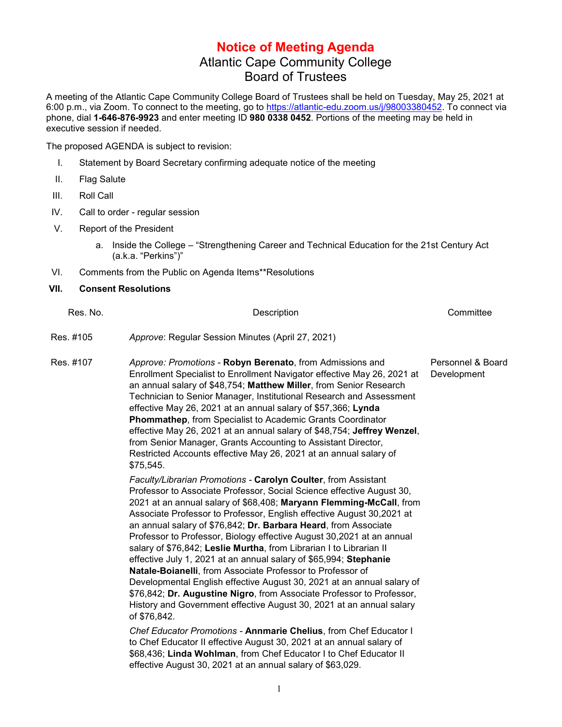## **Notice of Meeting Agenda** Atlantic Cape Community College Board of Trustees

A meeting of the Atlantic Cape Community College Board of Trustees shall be held on Tuesday, May 25, 2021 at 6:00 p.m., via Zoom. To connect to the meeting, go to [https://atlantic-edu.zoom.us/j/98003380452.](https://atlantic-edu.zoom.us/j/98003380452) To connect via phone, dial **1-646-876-9923** and enter meeting ID **980 0338 0452**. Portions of the meeting may be held in executive session if needed.

The proposed AGENDA is subject to revision:

- I. Statement by Board Secretary confirming adequate notice of the meeting
- II. Flag Salute
- III. Roll Call
- IV. Call to order regular session
- V. Report of the President
	- a. Inside the College "Strengthening Career and Technical Education for the 21st Century Act (a.k.a. "Perkins")"
- VI. Comments from the Public on Agenda Items\*\*Resolutions

## **VII. Consent Resolutions**

| Res. No.  | Description                                                                                                                                                                                                                                                                                                                                                                                                                                                                                                                                                                                                                                                                                                                                                                                                                                                                              | Committee                        |
|-----------|------------------------------------------------------------------------------------------------------------------------------------------------------------------------------------------------------------------------------------------------------------------------------------------------------------------------------------------------------------------------------------------------------------------------------------------------------------------------------------------------------------------------------------------------------------------------------------------------------------------------------------------------------------------------------------------------------------------------------------------------------------------------------------------------------------------------------------------------------------------------------------------|----------------------------------|
| Res. #105 | Approve: Regular Session Minutes (April 27, 2021)                                                                                                                                                                                                                                                                                                                                                                                                                                                                                                                                                                                                                                                                                                                                                                                                                                        |                                  |
| Res. #107 | Approve: Promotions - Robyn Berenato, from Admissions and<br>Enrollment Specialist to Enrollment Navigator effective May 26, 2021 at<br>an annual salary of \$48,754; Matthew Miller, from Senior Research<br>Technician to Senior Manager, Institutional Research and Assessment<br>effective May 26, 2021 at an annual salary of \$57,366; Lynda<br>Phommathep, from Specialist to Academic Grants Coordinator<br>effective May 26, 2021 at an annual salary of \$48,754; Jeffrey Wenzel,<br>from Senior Manager, Grants Accounting to Assistant Director,<br>Restricted Accounts effective May 26, 2021 at an annual salary of<br>\$75,545.                                                                                                                                                                                                                                           | Personnel & Board<br>Development |
|           | Faculty/Librarian Promotions - Carolyn Coulter, from Assistant<br>Professor to Associate Professor, Social Science effective August 30,<br>2021 at an annual salary of \$68,408; Maryann Flemming-McCall, from<br>Associate Professor to Professor, English effective August 30,2021 at<br>an annual salary of \$76,842; Dr. Barbara Heard, from Associate<br>Professor to Professor, Biology effective August 30,2021 at an annual<br>salary of \$76,842; Leslie Murtha, from Librarian I to Librarian II<br>effective July 1, 2021 at an annual salary of \$65,994; Stephanie<br>Natale-Boianelli, from Associate Professor to Professor of<br>Developmental English effective August 30, 2021 at an annual salary of<br>\$76,842; Dr. Augustine Nigro, from Associate Professor to Professor,<br>History and Government effective August 30, 2021 at an annual salary<br>of \$76,842. |                                  |
|           | Chef Educator Promotions - Annmarie Chelius, from Chef Educator I<br>to Chef Educator II effective August 30, 2021 at an annual salary of<br>\$68,436; Linda Wohlman, from Chef Educator I to Chef Educator II<br>effective August 30, 2021 at an annual salary of \$63,029.                                                                                                                                                                                                                                                                                                                                                                                                                                                                                                                                                                                                             |                                  |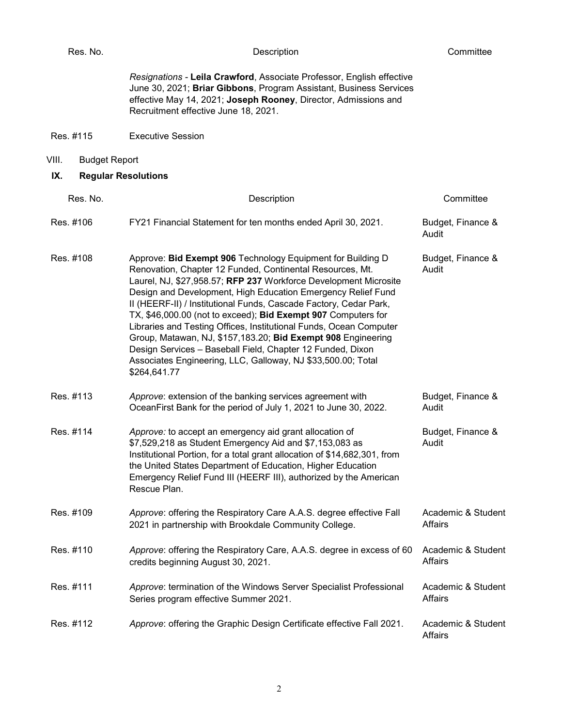*Resignations -* **Leila Crawford**, Associate Professor, English effective June 30, 2021; **Briar Gibbons**, Program Assistant, Business Services effective May 14, 2021; **Joseph Rooney**, Director, Admissions and Recruitment effective June 18, 2021.

- Res. #115 Executive Session
- VIII. Budget Report
- **IX. Regular Resolutions**

| Res. No.  | Description                                                                                                                                                                                                                                                                                                                                                                                                                                                                                                                                                                                                                                                                            | Committee                     |
|-----------|----------------------------------------------------------------------------------------------------------------------------------------------------------------------------------------------------------------------------------------------------------------------------------------------------------------------------------------------------------------------------------------------------------------------------------------------------------------------------------------------------------------------------------------------------------------------------------------------------------------------------------------------------------------------------------------|-------------------------------|
| Res. #106 | FY21 Financial Statement for ten months ended April 30, 2021.                                                                                                                                                                                                                                                                                                                                                                                                                                                                                                                                                                                                                          | Budget, Finance &<br>Audit    |
| Res. #108 | Approve: Bid Exempt 906 Technology Equipment for Building D<br>Renovation, Chapter 12 Funded, Continental Resources, Mt.<br>Laurel, NJ, \$27,958.57; RFP 237 Workforce Development Microsite<br>Design and Development, High Education Emergency Relief Fund<br>II (HEERF-II) / Institutional Funds, Cascade Factory, Cedar Park,<br>TX, \$46,000.00 (not to exceed); Bid Exempt 907 Computers for<br>Libraries and Testing Offices, Institutional Funds, Ocean Computer<br>Group, Matawan, NJ, \$157,183.20; Bid Exempt 908 Engineering<br>Design Services - Baseball Field, Chapter 12 Funded, Dixon<br>Associates Engineering, LLC, Galloway, NJ \$33,500.00; Total<br>\$264,641.77 | Budget, Finance &<br>Audit    |
| Res. #113 | Approve: extension of the banking services agreement with<br>OceanFirst Bank for the period of July 1, 2021 to June 30, 2022.                                                                                                                                                                                                                                                                                                                                                                                                                                                                                                                                                          | Budget, Finance &<br>Audit    |
| Res. #114 | Approve: to accept an emergency aid grant allocation of<br>\$7,529,218 as Student Emergency Aid and \$7,153,083 as<br>Institutional Portion, for a total grant allocation of \$14,682,301, from<br>the United States Department of Education, Higher Education<br>Emergency Relief Fund III (HEERF III), authorized by the American<br>Rescue Plan.                                                                                                                                                                                                                                                                                                                                    | Budget, Finance &<br>Audit    |
| Res. #109 | Approve: offering the Respiratory Care A.A.S. degree effective Fall<br>2021 in partnership with Brookdale Community College.                                                                                                                                                                                                                                                                                                                                                                                                                                                                                                                                                           | Academic & Student<br>Affairs |
| Res. #110 | Approve: offering the Respiratory Care, A.A.S. degree in excess of 60<br>credits beginning August 30, 2021.                                                                                                                                                                                                                                                                                                                                                                                                                                                                                                                                                                            | Academic & Student<br>Affairs |
| Res. #111 | Approve: termination of the Windows Server Specialist Professional<br>Series program effective Summer 2021.                                                                                                                                                                                                                                                                                                                                                                                                                                                                                                                                                                            | Academic & Student<br>Affairs |
| Res. #112 | Approve: offering the Graphic Design Certificate effective Fall 2021.                                                                                                                                                                                                                                                                                                                                                                                                                                                                                                                                                                                                                  | Academic & Student<br>Affairs |